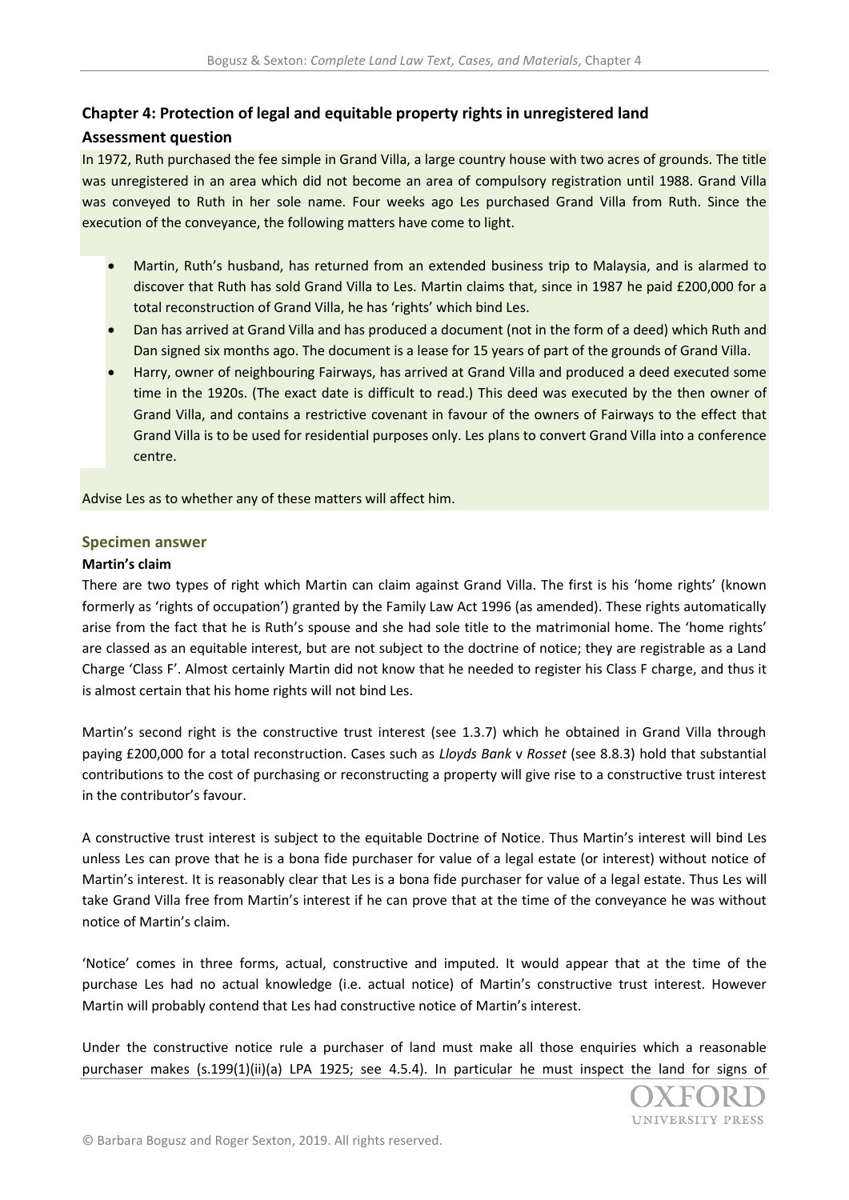# **Chapter 4: Protection of legal and equitable property rights in unregistered land**

## **Assessment question**

In 1972, Ruth purchased the fee simple in Grand Villa, a large country house with two acres of grounds. The title was unregistered in an area which did not become an area of compulsory registration until 1988. Grand Villa was conveyed to Ruth in her sole name. Four weeks ago Les purchased Grand Villa from Ruth. Since the execution of the conveyance, the following matters have come to light.

- Martin, Ruth's husband, has returned from an extended business trip to Malaysia, and is alarmed to discover that Ruth has sold Grand Villa to Les. Martin claims that, since in 1987 he paid £200,000 for a total reconstruction of Grand Villa, he has 'rights' which bind Les.
- Dan has arrived at Grand Villa and has produced a document (not in the form of a deed) which Ruth and Dan signed six months ago. The document is a lease for 15 years of part of the grounds of Grand Villa.
- Harry, owner of neighbouring Fairways, has arrived at Grand Villa and produced a deed executed some time in the 1920s. (The exact date is difficult to read.) This deed was executed by the then owner of Grand Villa, and contains a restrictive covenant in favour of the owners of Fairways to the effect that Grand Villa is to be used for residential purposes only. Les plans to convert Grand Villa into a conference centre.

Advise Les as to whether any of these matters will affect him.

### **Specimen answer**

### **Martin's claim**

There are two types of right which Martin can claim against Grand Villa. The first is his 'home rights' (known formerly as 'rights of occupation') granted by the Family Law Act 1996 (as amended). These rights automatically arise from the fact that he is Ruth's spouse and she had sole title to the matrimonial home. The 'home rights' are classed as an equitable interest, but are not subject to the doctrine of notice; they are registrable as a Land Charge 'Class F'. Almost certainly Martin did not know that he needed to register his Class F charge, and thus it is almost certain that his home rights will not bind Les.

Martin's second right is the constructive trust interest (see 1.3.7) which he obtained in Grand Villa through paying £200,000 for a total reconstruction. Cases such as *Lloyds Bank* v *Rosset* (see 8.8.3) hold that substantial contributions to the cost of purchasing or reconstructing a property will give rise to a constructive trust interest in the contributor's favour.

A constructive trust interest is subject to the equitable Doctrine of Notice. Thus Martin's interest will bind Les unless Les can prove that he is a bona fide purchaser for value of a legal estate (or interest) without notice of Martin's interest. It is reasonably clear that Les is a bona fide purchaser for value of a legal estate. Thus Les will take Grand Villa free from Martin's interest if he can prove that at the time of the conveyance he was without notice of Martin's claim.

'Notice' comes in three forms, actual, constructive and imputed. It would appear that at the time of the purchase Les had no actual knowledge (i.e. actual notice) of Martin's constructive trust interest. However Martin will probably contend that Les had constructive notice of Martin's interest.

Under the constructive notice rule a purchaser of land must make all those enquiries which a reasonable purchaser makes (s.199(1)(ii)(a) LPA 1925; see 4.5.4). In particular he must inspect the land for signs of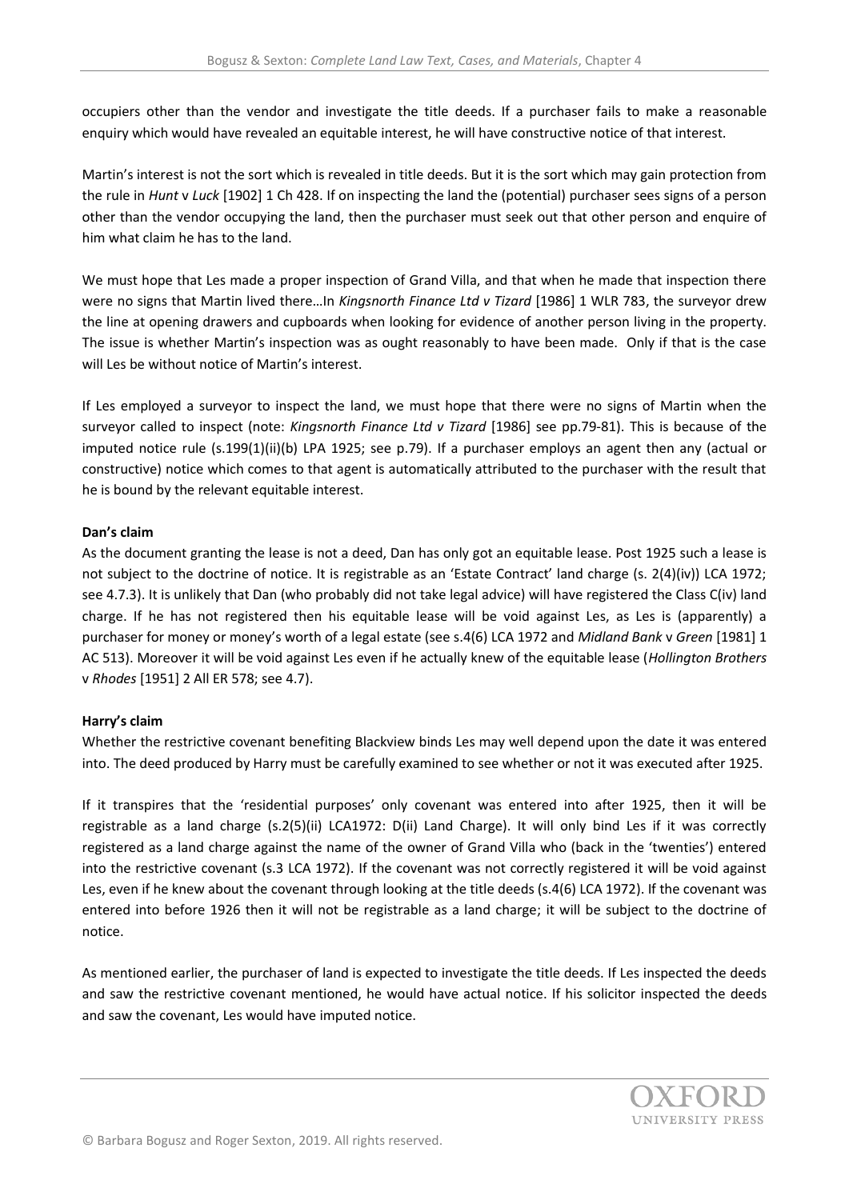occupiers other than the vendor and investigate the title deeds. If a purchaser fails to make a reasonable enquiry which would have revealed an equitable interest, he will have constructive notice of that interest.

Martin's interest is not the sort which is revealed in title deeds. But it is the sort which may gain protection from the rule in *Hunt* v *Luck* [1902] 1 Ch 428. If on inspecting the land the (potential) purchaser sees signs of a person other than the vendor occupying the land, then the purchaser must seek out that other person and enquire of him what claim he has to the land.

We must hope that Les made a proper inspection of Grand Villa, and that when he made that inspection there were no signs that Martin lived there…In *Kingsnorth Finance Ltd v Tizard* [1986] 1 WLR 783, the surveyor drew the line at opening drawers and cupboards when looking for evidence of another person living in the property. The issue is whether Martin's inspection was as ought reasonably to have been made. Only if that is the case will Les be without notice of Martin's interest.

If Les employed a surveyor to inspect the land, we must hope that there were no signs of Martin when the surveyor called to inspect (note: *Kingsnorth Finance Ltd v Tizard* [1986] see pp.79-81). This is because of the imputed notice rule (s.199(1)(ii)(b) LPA 1925; see p.79). If a purchaser employs an agent then any (actual or constructive) notice which comes to that agent is automatically attributed to the purchaser with the result that he is bound by the relevant equitable interest.

### **Dan's claim**

As the document granting the lease is not a deed, Dan has only got an equitable lease. Post 1925 such a lease is not subject to the doctrine of notice. It is registrable as an 'Estate Contract' land charge (s. 2(4)(iv)) LCA 1972; see 4.7.3). It is unlikely that Dan (who probably did not take legal advice) will have registered the Class C(iv) land charge. If he has not registered then his equitable lease will be void against Les, as Les is (apparently) a purchaser for money or money's worth of a legal estate (see s.4(6) LCA 1972 and *Midland Bank* v *Green* [1981] 1 AC 513). Moreover it will be void against Les even if he actually knew of the equitable lease (*Hollington Brothers*  v *Rhodes* [1951] 2 All ER 578; see 4.7).

## **Harry's claim**

Whether the restrictive covenant benefiting Blackview binds Les may well depend upon the date it was entered into. The deed produced by Harry must be carefully examined to see whether or not it was executed after 1925.

If it transpires that the 'residential purposes' only covenant was entered into after 1925, then it will be registrable as a land charge (s.2(5)(ii) LCA1972: D(ii) Land Charge). It will only bind Les if it was correctly registered as a land charge against the name of the owner of Grand Villa who (back in the 'twenties') entered into the restrictive covenant (s.3 LCA 1972). If the covenant was not correctly registered it will be void against Les, even if he knew about the covenant through looking at the title deeds (s.4(6) LCA 1972). If the covenant was entered into before 1926 then it will not be registrable as a land charge; it will be subject to the doctrine of notice.

As mentioned earlier, the purchaser of land is expected to investigate the title deeds. If Les inspected the deeds and saw the restrictive covenant mentioned, he would have actual notice. If his solicitor inspected the deeds and saw the covenant, Les would have imputed notice.